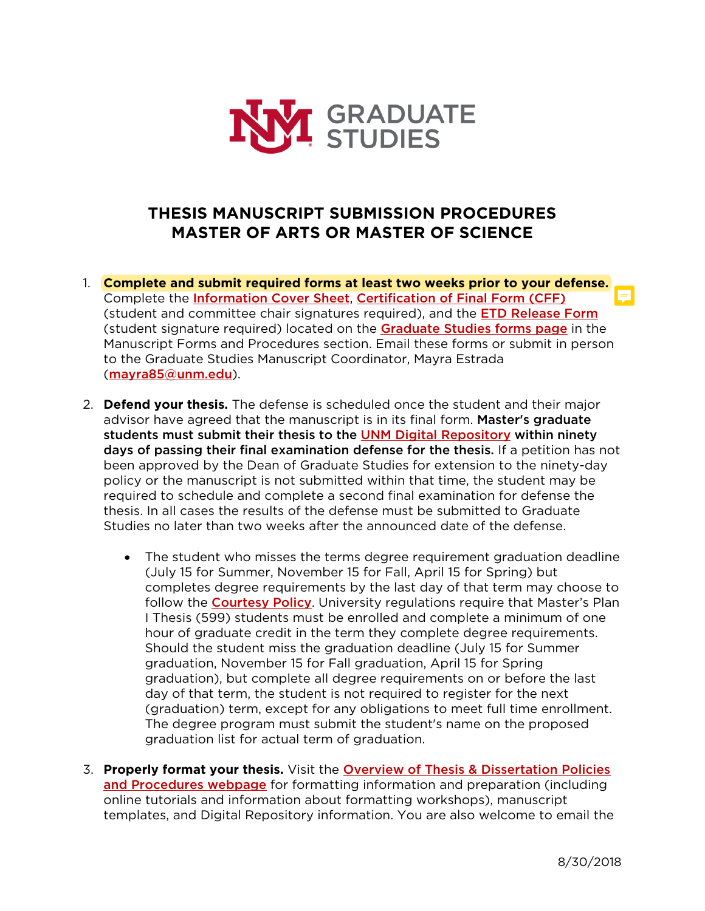

## **THESIS MANUSCRIPT SUBMISSION PROCEDURES MASTER OF ARTS OR MASTER OF SCIENCE**

- 1. **Complete and submit required forms at least two weeks prior to your defense.** Complete the [Information Cover Sheet](http://grad.unm.edu/resources/gs-forms/documents/info-cover.pdf), [Certification of Final Form \(CFF\)](http://grad.unm.edu/resources/gs-forms/documents/certificate-final-elect.pdf) (student and committee chair signatures required), and the **[ETD Release Form](http://grad.unm.edu/resources/gs-forms/documents/electronic-release.pdf)** (student signature required) located on the **[Graduate Studies forms page](http://grad.unm.edu/resources/gs-forms/index.html)** in the Manuscript Forms and Procedures section. Email these forms or submit in person to the Graduate Studies Manuscript Coordinator, Mayra Estrada ([mayra85@unm.edu](mailto:mayra85@unm.edu)).
- 2. **Defend your thesis.** The defense is scheduled once the student and their major advisor have agreed that the manuscript is in its final form. Master's graduate students must submit their thesis to the **UNM Digital Repository** within ninety days of passing their final examination defense for the thesis. If a petition has not been approved by the Dean of Graduate Studies for extension to the ninety-day policy or the manuscript is not submitted within that time, the student may be required to schedule and complete a second final examination for defense the thesis. In all cases the results of the defense must be submitted to Graduate Studies no later than two weeks after the announced date of the defense.
	- The student who misses the terms degree requirement graduation deadline (July 15 for Summer, November 15 for Fall, April 15 for Spring) but completes degree requirements by the last day of that term may choose to follow the **[Courtesy Policy](http://grad.unm.edu/current-students/documents/courtesy-policy.pdf)**. University regulations require that Master's Plan I Thesis (599) students must be enrolled and complete a minimum of one hour of graduate credit in the term they complete degree requirements. Should the student miss the graduation deadline (July 15 for Summer graduation, November 15 for Fall graduation, April 15 for Spring graduation), but complete all degree requirements on or before the last day of that term, the student is not required to register for the next (graduation) term, except for any obligations to meet full time enrollment. The degree program must submit the student's name on the proposed graduation list for actual term of graduation.
- 3. **Properly format your thesis.** Visit the [Overview of Thesis & Dissertation Policies](http://grad.unm.edu/degree-completion/thesis-dissertations/index.html) [and Procedures webpage](http://grad.unm.edu/degree-completion/thesis-dissertations/index.html) for formatting information and preparation (including online tutorials and information about formatting workshops), manuscript templates, and Digital Repository information. You are also welcome to email the